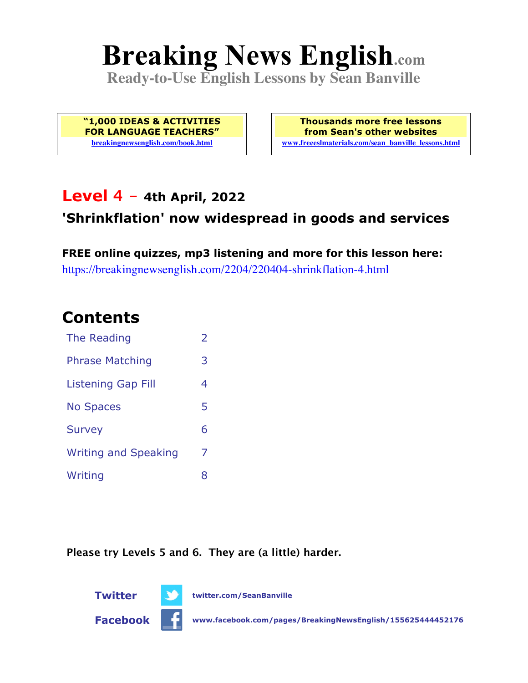# **Breaking News English.com**

**Ready-to-Use English Lessons by Sean Banville**

**"1,000 IDEAS & ACTIVITIES FOR LANGUAGE TEACHERS" breakingnewsenglish.com/book.html**

**Thousands more free lessons from Sean's other websites www.freeeslmaterials.com/sean\_banville\_lessons.html**

### **Level 4 - 4th April, 2022**

### **'Shrinkflation' now widespread in goods and services**

**FREE online quizzes, mp3 listening and more for this lesson here:** https://breakingnewsenglish.com/2204/220404-shrinkflation-4.html

### **Contents**

| The Reading                 | $\overline{2}$ |
|-----------------------------|----------------|
| <b>Phrase Matching</b>      | 3              |
| <b>Listening Gap Fill</b>   | 4              |
| <b>No Spaces</b>            | 5              |
| <b>Survey</b>               | 6              |
| <b>Writing and Speaking</b> | 7              |
| Writing                     | 8              |

**Please try Levels 5 and 6. They are (a little) harder.**

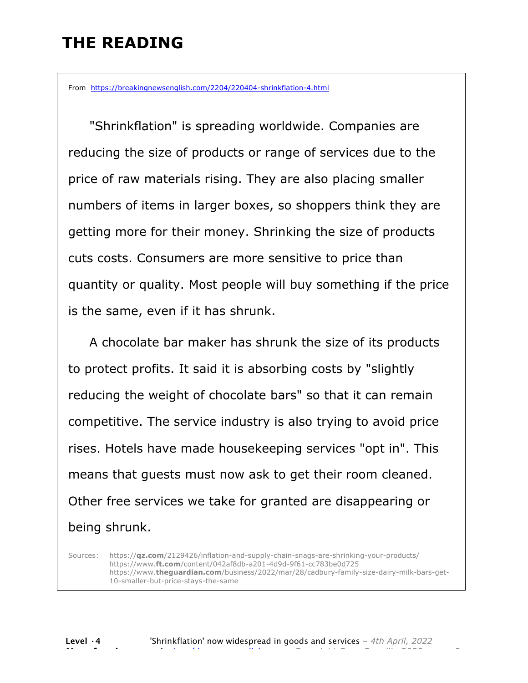### **THE READING**

From https://breakingnewsenglish.com/2204/220404-shrinkflation-4.html

 "Shrinkflation" is spreading worldwide. Companies are reducing the size of products or range of services due to the price of raw materials rising. They are also placing smaller numbers of items in larger boxes, so shoppers think they are getting more for their money. Shrinking the size of products cuts costs. Consumers are more sensitive to price than quantity or quality. Most people will buy something if the price is the same, even if it has shrunk.

 A chocolate bar maker has shrunk the size of its products to protect profits. It said it is absorbing costs by "slightly reducing the weight of chocolate bars" so that it can remain competitive. The service industry is also trying to avoid price rises. Hotels have made housekeeping services "opt in". This means that guests must now ask to get their room cleaned. Other free services we take for granted are disappearing or being shrunk.

Sources: https://**qz.com**/2129426/inflation-and-supply-chain-snags-are-shrinking-your-products/ https://www.**ft.com**/content/042af8db-a201-4d9d-9f61-cc783be0d725 https://www.**theguardian.com**/business/2022/mar/28/cadbury-family-size-dairy-milk-bars-get-10-smaller-but-price-stays-the-same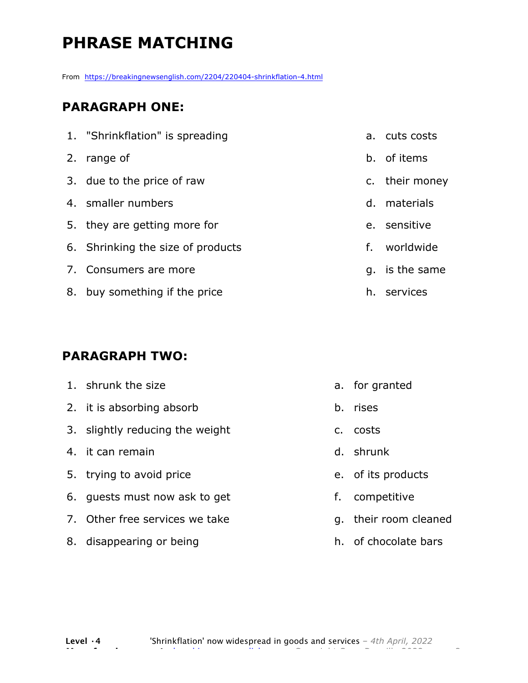# **PHRASE MATCHING**

From https://breakingnewsenglish.com/2204/220404-shrinkflation-4.html

#### **PARAGRAPH ONE:**

| 1. "Shrinkflation" is spreading   | a. cuts costs  |
|-----------------------------------|----------------|
| 2. range of                       | b. of items    |
| 3. due to the price of raw        | c. their money |
| 4. smaller numbers                | d. materials   |
| 5. they are getting more for      | e. sensitive   |
| 6. Shrinking the size of products | f. worldwide   |
| 7. Consumers are more             | q. is the same |
| 8. buy something if the price     | h. services    |
|                                   |                |

#### **PARAGRAPH TWO:**

| 1. shrunk the size              | a. for granted        |
|---------------------------------|-----------------------|
| 2. it is absorbing absorb       | b. rises              |
| 3. slightly reducing the weight | c. costs              |
| 4. it can remain                | d. shrunk             |
| 5. trying to avoid price        | e. of its products    |
| 6. quests must now ask to get   | f. competitive        |
| 7. Other free services we take  | g. their room cleaned |

h. of chocolate bars

8. disappearing or being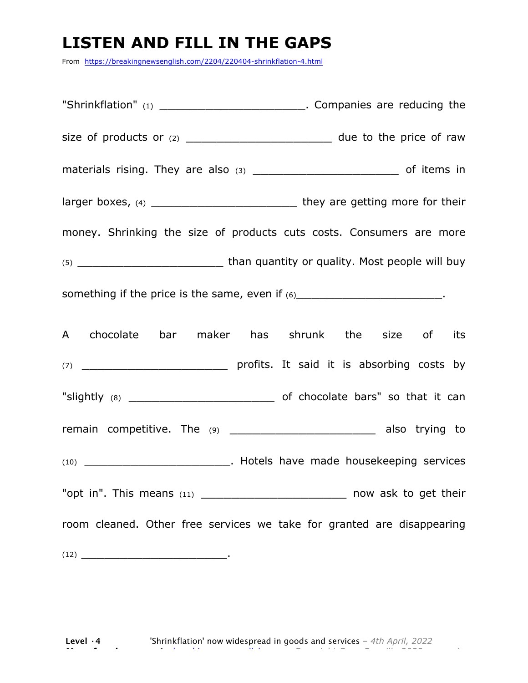### **LISTEN AND FILL IN THE GAPS**

From https://breakingnewsenglish.com/2204/220404-shrinkflation-4.html

"Shrinkflation" (1) The Companies are reducing the size of products or (2) \_\_\_\_\_\_\_\_\_\_\_\_\_\_\_\_\_\_\_ due to the price of raw materials rising. They are also  $(3)$  \_\_\_\_\_\_\_\_\_\_\_\_\_\_\_\_\_\_\_\_\_\_\_\_\_\_\_\_\_\_\_\_\_\_\_ of items in larger boxes, (4) \_\_\_\_\_\_\_\_\_\_\_\_\_\_\_\_\_\_\_ they are getting more for their money. Shrinking the size of products cuts costs. Consumers are more (5) \_\_\_\_\_\_\_\_\_\_\_\_\_\_\_\_\_\_\_ than quantity or quality. Most people will buy something if the price is the same, even if  $(6)$ A chocolate bar maker has shrunk the size of its (7) \_\_\_\_\_\_\_\_\_\_\_\_\_\_\_\_\_\_\_ profits. It said it is absorbing costs by "slightly (8) Contact the Contact Contact of Chocolate bars" so that it can remain competitive. The (9) \_\_\_\_\_\_\_\_\_\_\_\_\_\_\_\_\_\_\_\_\_\_\_\_\_ also trying to (10) \_\_\_\_\_\_\_\_\_\_\_\_\_\_\_\_\_\_\_. Hotels have made housekeeping services "opt in". This means  $(11)$  \_\_\_\_\_\_\_\_\_\_\_\_\_\_\_\_\_\_\_\_\_\_\_\_\_\_\_\_\_ now ask to get their room cleaned. Other free services we take for granted are disappearing (12) \_\_\_\_\_\_\_\_\_\_\_\_\_\_\_\_\_\_\_.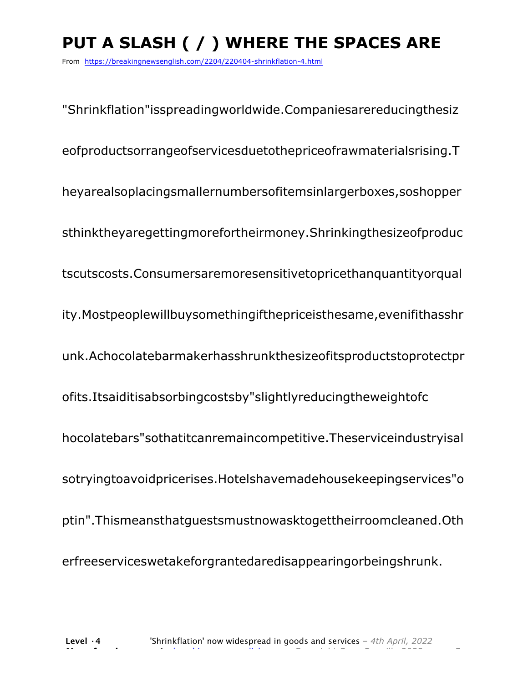# **PUT A SLASH ( / ) WHERE THE SPACES ARE**

From https://breakingnewsenglish.com/2204/220404-shrinkflation-4.html

"Shrinkflation"isspreadingworldwide.Companiesarereducingthesiz eofproductsorrangeofservicesduetothepriceofrawmaterialsrising.T heyarealsoplacingsmallernumbersofitemsinlargerboxes,soshopper sthinktheyaregettingmorefortheirmoney.Shrinkingthesizeofproduc tscutscosts.Consumersaremoresensitivetopricethanquantityorqual ity.Mostpeoplewillbuysomethingifthepriceisthesame,evenifithasshr unk.Achocolatebarmakerhasshrunkthesizeofitsproductstoprotectpr ofits.Itsaiditisabsorbingcostsby"slightlyreducingtheweightofc hocolatebars"sothatitcanremaincompetitive.Theserviceindustryisal sotryingtoavoidpricerises.Hotelshavemadehousekeepingservices"o ptin".Thismeansthatguestsmustnowasktogettheirroomcleaned.Oth erfreeserviceswetakeforgrantedaredisappearingorbeingshrunk.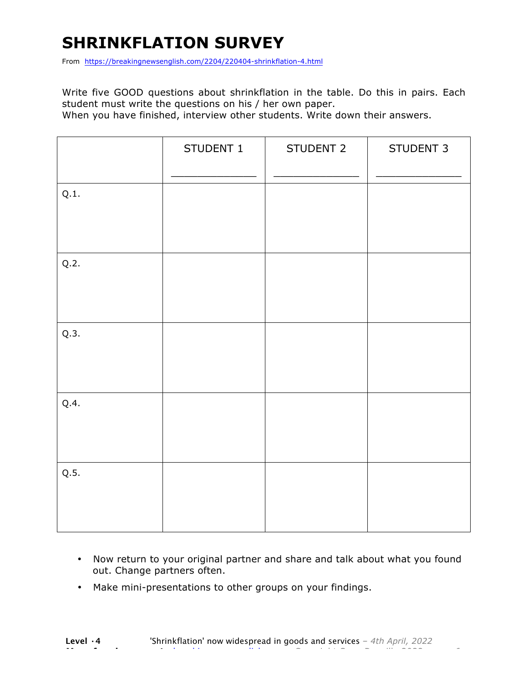## **SHRINKFLATION SURVEY**

From https://breakingnewsenglish.com/2204/220404-shrinkflation-4.html

Write five GOOD questions about shrinkflation in the table. Do this in pairs. Each student must write the questions on his / her own paper.

When you have finished, interview other students. Write down their answers.

|      | STUDENT 1 | STUDENT 2 | STUDENT 3 |
|------|-----------|-----------|-----------|
| Q.1. |           |           |           |
| Q.2. |           |           |           |
| Q.3. |           |           |           |
| Q.4. |           |           |           |
| Q.5. |           |           |           |

- Now return to your original partner and share and talk about what you found out. Change partners often.
- Make mini-presentations to other groups on your findings.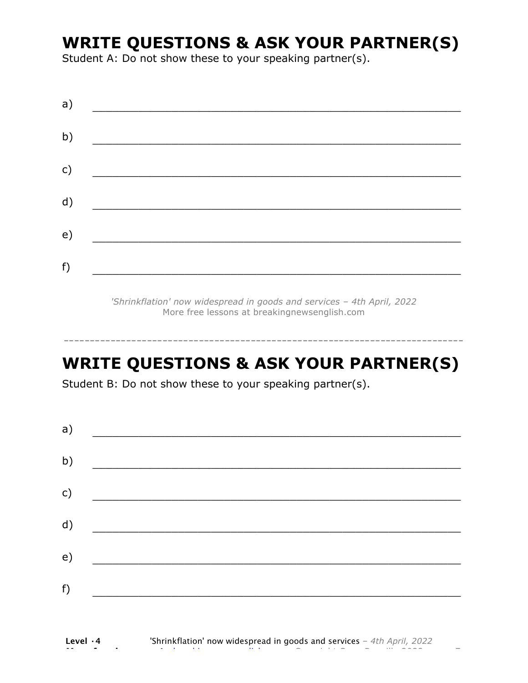### **WRITE QUESTIONS & ASK YOUR PARTNER(S)**

Student A: Do not show these to your speaking partner(s).

| a) |  |  |
|----|--|--|
| b) |  |  |
| c) |  |  |
| d) |  |  |
| e) |  |  |
| f) |  |  |
|    |  |  |

*'Shrinkflation' now widespread in goods and services – 4th April, 2022* More free lessons at breakingnewsenglish.com

### **WRITE QUESTIONS & ASK YOUR PARTNER(S)**

-----------------------------------------------------------------------------

Student B: Do not show these to your speaking partner(s).

| a) |  |  |
|----|--|--|
| b) |  |  |
| c) |  |  |
| d) |  |  |
| e) |  |  |
| f) |  |  |
|    |  |  |